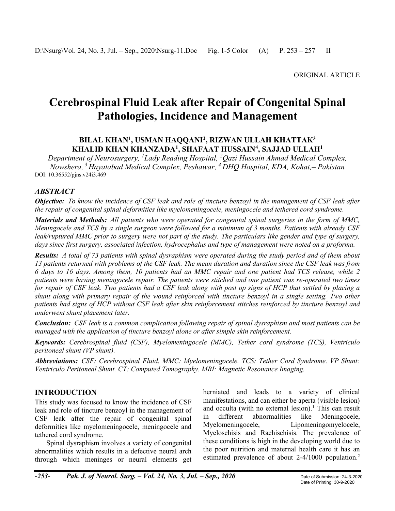# **Cerebrospinal Fluid Leak after Repair of Congenital Spinal Pathologies, Incidence and Management**

#### **BILAL KHAN<sup>1</sup> , USMAN HAQQANI<sup>2</sup> , RIZWAN ULLAH KHATTAK<sup>3</sup> KHALID KHAN KHANZADA<sup>1</sup> , SHAFAAT HUSSAIN<sup>4</sup> , SAJJAD ULLAH<sup>1</sup>**

*Department of Neurosurgery, <sup>1</sup>Lady Reading Hospital, <sup>2</sup>Qazi Hussain Ahmad Medical Complex, Nowshera, <sup>3</sup>Hayatabad Medical Complex, Peshawar, <sup>4</sup> DHQ Hospital, KDA, Kohat,– Pakistan* DOI: 10.36552/pjns.v24i3.469

## *ABSTRACT*

*Objective: To know the incidence of CSF leak and role of tincture benzoyl in the management of CSF leak after the repair of congenital spinal deformities like myelomeningocele, meningocele and tethered cord syndrome.*

*Materials and Methods: All patients who were operated for congenital spinal surgeries in the form of MMC, Meningocele and TCS by a single surgeon were followed for a minimum of 3 months. Patients with already CSF*  leak/ruptured MMC prior to surgery were not part of the study. The particulars like gender and type of surgery, *days since first surgery, associated infection, hydrocephalus and type of management were noted on a proforma.*

*Results: A total of 73 patients with spinal dysraphism were operated during the study period and of them about 13 patients returned with problems of the CSF leak. The mean duration and duration since the CSF leak was from 6 days to 16 days. Among them, 10 patients had an MMC repair and one patient had TCS release, while 2 patients were having meningocele repair. The patients were stitched and one patient was re-operated two times for repair of CSF leak. Two patients had a CSF leak along with post op signs of HCP that settled by placing a shunt along with primary repair of the wound reinforced with tincture benzoyl in a single setting. Two other patients had signs of HCP without CSF leak after skin reinforcement stitches reinforced by tincture benzoyl and underwent shunt placement later.*

*Conclusion: CSF leak is a common complication following repair of spinal dysraphism and most patients can be managed with the application of tincture benzoyl alone or after simple skin reinforcement.*

*Keywords: Cerebrospinal fluid (CSF), Myelomeningocele (MMC), Tether cord syndrome (TCS), Ventriculo peritoneal shunt (VP shunt).*

*Abbreviations: CSF: Cerebrospinal Fluid. MMC: Myelomeningocele. TCS: Tether Cord Syndrome. VP Shunt: Ventriculo Peritoneal Shunt. CT: Computed Tomography. MRI: Magnetic Resonance Imaging.*

## **INTRODUCTION**

This study was focused to know the incidence of CSF leak and role of tincture benzoyl in the management of CSF leak after the repair of congenital spinal deformities like myelomeningocele, meningocele and tethered cord syndrome.

Spinal dysraphism involves a variety of congenital abnormalities which results in a defective neural arch through which meninges or neural elements get herniated and leads to a variety of clinical manifestations, and can either be aperta (visible lesion) and occulta (with no external lesion). <sup>1</sup> This can result in different abnormalities like Meningocele, Myelomeningocele, Lipomeningomyelocele, Myeloschisis and Rachischisis. The prevalence of these conditions is high in the developing world due to the poor nutrition and maternal health care it has an estimated prevalence of about 2-4/1000 population. 2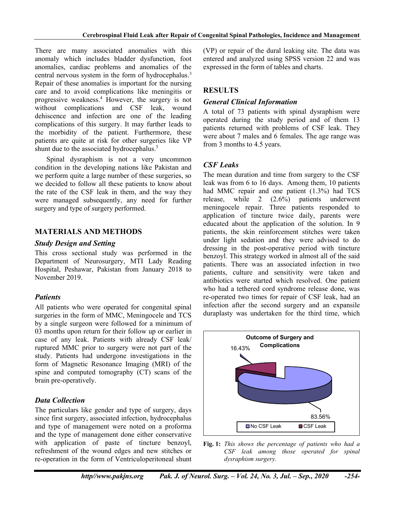There are many associated anomalies with this anomaly which includes bladder dysfunction, foot anomalies, cardiac problems and anomalies of the central nervous system in the form of hydrocephalus. 3 Repair of these anomalies is important for the nursing care and to avoid complications like meningitis or progressive weakness. <sup>4</sup> However, the surgery is not without complications and CSF leak, wound dehiscence and infection are one of the leading complications of this surgery. It may further leads to the morbidity of the patient. Furthermore, these patients are quite at risk for other surgeries like VP shunt due to the associated hydrocephalus.<sup>5</sup>

Spinal dysraphism is not a very uncommon condition in the developing nations like Pakistan and we perform quite a large number of these surgeries, so we decided to follow all these patients to know about the rate of the CSF leak in them, and the way they were managed subsequently, any need for further surgery and type of surgery performed.

## **MATERIALS AND METHODS**

#### *Study Design and Setting*

This cross sectional study was performed in the Department of Neurosurgery, MTI Lady Reading Hospital, Peshawar, Pakistan from January 2018 to November 2019.

## *Patients*

All patients who were operated for congenital spinal surgeries in the form of MMC, Meningocele and TCS by a single surgeon were followed for a minimum of 03 months upon return for their follow up or earlier in case of any leak. Patients with already CSF leak/ ruptured MMC prior to surgery were not part of the study. Patients had undergone investigations in the form of Magnetic Resonance Imaging (MRI) of the spine and computed tomography (CT) scans of the brain pre-operatively.

# *Data Collection*

The particulars like gender and type of surgery, days since first surgery, associated infection, hydrocephalus and type of management were noted on a proforma and the type of management done either conservative with application of paste of tincture benzoyl, refreshment of the wound edges and new stitches or re-operation in the form of Ventriculoperitoneal shunt

(VP) or repair of the dural leaking site. The data was entered and analyzed using SPSS version 22 and was expressed in the form of tables and charts.

# **RESULTS**

#### *General Clinical Information*

A total of 73 patients with spinal dysraphism were operated during the study period and of them 13 patients returned with problems of CSF leak. They were about 7 males and 6 females. The age range was from 3 months to 4.5 years.

## *CSF Leaks*

The mean duration and time from surgery to the CSF leak was from 6 to 16 days. Among them, 10 patients had MMC repair and one patient (1.3%) had TCS release, while 2 (2.6%) patients underwent meningocele repair. Three patients responded to application of tincture twice daily, parents were educated about the application of the solution. In 9 patients, the skin reinforcement stitches were taken under light sedation and they were advised to do dressing in the post-operative period with tincture benzoyl. This strategy worked in almost all of the said patients. There was an associated infection in two patients, culture and sensitivity were taken and antibiotics were started which resolved. One patient who had a tethered cord syndrome release done, was re-operated two times for repair of CSF leak, had an infection after the second surgery and an expansile duraplasty was undertaken for the third time, which



**Fig. 1:** *This shows the percentage of patients who had a CSF leak among those operated for spinal dysraphism surgery.*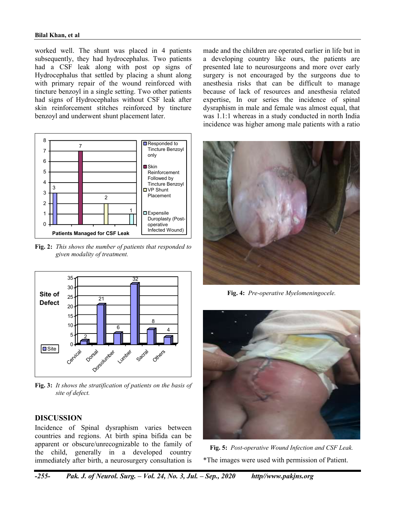#### **Bilal Khan, et al**

worked well. The shunt was placed in 4 patients subsequently, they had hydrocephalus. Two patients had a CSF leak along with post op signs of Hydrocephalus that settled by placing a shunt along with primary repair of the wound reinforced with tincture benzoyl in a single setting. Two other patients had signs of Hydrocephalus without CSF leak after skin reinforcement stitches reinforced by tincture benzoyl and underwent shunt placement later.



**Fig. 2:** *This shows the number of patients that responded to given modality of treatment.*



**Fig. 3:** *It shows the stratification of patients on the basis of site of defect.*

#### **DISCUSSION**

Incidence of Spinal dysraphism varies between countries and regions. At birth spina bifida can be apparent or obscure/unrecognizable to the family of the child, generally in a developed country immediately after birth, a neurosurgery consultation is

made and the children are operated earlier in life but in a developing country like ours, the patients are presented late to neurosurgeons and more over early surgery is not encouraged by the surgeons due to anesthesia risks that can be difficult to manage because of lack of resources and anesthesia related expertise, In our series the incidence of spinal dysraphism in male and female was almost equal, that was 1.1:1 whereas in a study conducted in north India incidence was higher among male patients with a ratio



**Fig. 4:** *Pre-operative Myelomeningocele.*



**Fig. 5:** *Post-operative Wound Infection and CSF Leak.* \*The images were used with permission of Patient.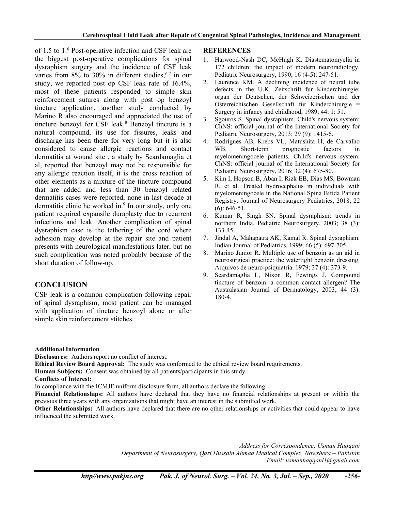of 1.5 to 1. <sup>6</sup> Post-operative infection and CSF leak are the biggest post-operative complications for spinal dysraphism surgery and the incidence of CSF leak varies from  $8\%$  to  $30\%$  in different studies,  $6\%$  in our study, we reported post op CSF leak rate of 16.4%, most of these patients responded to simple skin reinforcement sutures along with post op benzoyl tincture application, another study conducted by Marino R also encouraged and appreciated the use of tincture benzoyl for CSF leak. <sup>8</sup> Benzoyl tincture is a natural compound, its use for fissures, leaks and discharge has been there for very long but it is also considered to cause allergic reactions and contact dermatitis at wound site , a study by Scardamaglia et al, reported that benzoyl may not be responsible for any allergic reaction itself, it is the cross reaction of other elements as a mixture of the tincture compound that are added and less than 30 benzoyl related dermatitis cases were reported, none in last decade at dermatitis clinic he worked in. 9 In our study, only one patient required expansile duraplasty due to recurrent infections and leak. Another complication of spinal dysraphism case is the tethering of the cord where adhesion may develop at the repair site and patient presents with neurological manifestations later, but no such complication was noted probably because of the short duration of follow-up.

# **CONCLUSION**

CSF leak is a common complication following repair of spinal dysraphism, most patient can be managed with application of tincture benzoyl alone or after simple skin reinforcement stitches.

#### **REFERENCES**

- 1. Harwood-Nash DC, McHugh K. Diastematomyelia in 172 children: the impact of modern neuroradiology. Pediatric Neurosurgery, 1990; 16 (4-5): 247-51.
- 2. Laurence KM. A declining incidence of neural tube defects in the U.K. Zeitschrift fur Kinderchirurgie: organ der Deutschen, der Schweizerischen und der Osterreichischen Gesellschaft fur Kinderchirurgie = Surgery in infancy and childhood, 1989; 44: 1: 51.
- 3. Sgouros S. Spinal dysraphism. Child's nervous system: ChNS: official journal of the International Society for Pediatric Neurosurgery, 2013; 29 (9): 1415-6.
- 4. Rodrigues AB, Krebs VL, Matushita H, de Carvalho WB. Short-term prognostic factors in myelomeningocele patients. Child's nervous system: ChNS: official journal of the International Society for Pediatric Neurosurgery, 2016; 32 (4): 675-80.
- 5. Kim I, Hopson B, Aban I, Rizk EB, Dias MS, Bowman R, et al. Treated hydrocephalus in individuals with myelomeningocele in the National Spina Bifida Patient Registry. Journal of Neurosurgery Pediatrics, 2018; 22 (6): 646-51.
- 6. Kumar R, Singh SN. Spinal dysraphism: trends in northern India. Pediatric Neurosurgery, 2003; 38 (3): 133-45.
- 7. Jindal A, Mahapatra AK, Kamal R. Spinal dysraphism. Indian Journal of Pediatrics, 1999; 66 (5): 697-705.
- 8. Marino Junior R. Multiple use of benzoin as an aid in neurosurgical practice: the watertight benzoin dressing. Arquivos de neuro-psiquiatria. 1979; 37 (4): 373-9.
- 9. Scardamaglia L, Nixon R, Fewings J. Compound tincture of benzoin: a common contact allergen? The Australasian Journal of Dermatology, 2003; 44 (3): 180-4.

#### **Additional Information**

**Disclosures:** Authors report no conflict of interest.

**Ethical Review Board Approval:** The study was conformed to the ethical review board requirements.

**Human Subjects:** Consent was obtained by all patients/participants in this study.

**Conflicts of Interest:**

In compliance with the ICMJE uniform disclosure form, all authors declare the following:

**Financial Relationships:** All authors have declared that they have no financial relationships at present or within the previous three years with any organizations that might have an interest in the submitted work.

**Other Relationships:** All authors have declared that there are no other relationships or activities that could appear to have influenced the submitted work.

> *Address for Correspondence: Usman Haqqani Department of Neurosurgery, Qazi Hussain Ahmad Medical Complex, Nowshera – Pakistan Email: usmanhaqqani1@gmail.com*